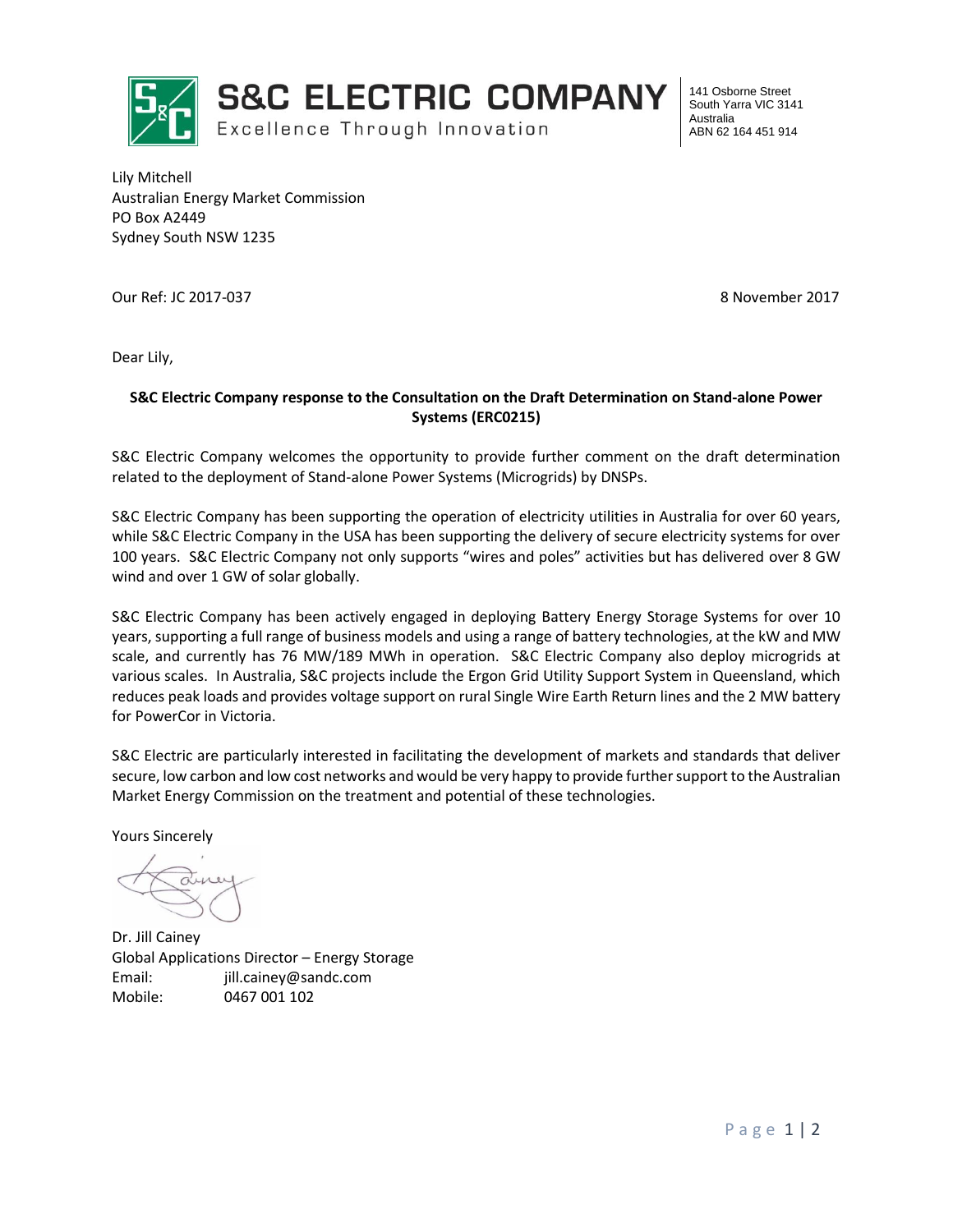

**S&C ELECTRIC COMPANY** 

Excellence Through Innovation

141 Osborne Street South Yarra VIC 3141 Australia ABN 62 164 451 914

Lily Mitchell Australian Energy Market Commission PO Box A2449 Sydney South NSW 1235

Our Ref: JC 2017-037 8 November 2017

Dear Lily,

## **S&C Electric Company response to the Consultation on the Draft Determination on Stand-alone Power Systems (ERC0215)**

S&C Electric Company welcomes the opportunity to provide further comment on the draft determination related to the deployment of Stand-alone Power Systems (Microgrids) by DNSPs.

S&C Electric Company has been supporting the operation of electricity utilities in Australia for over 60 years, while S&C Electric Company in the USA has been supporting the delivery of secure electricity systems for over 100 years. S&C Electric Company not only supports "wires and poles" activities but has delivered over 8 GW wind and over 1 GW of solar globally.

S&C Electric Company has been actively engaged in deploying Battery Energy Storage Systems for over 10 years, supporting a full range of business models and using a range of battery technologies, at the kW and MW scale, and currently has 76 MW/189 MWh in operation. S&C Electric Company also deploy microgrids at various scales. In Australia, S&C projects include the Ergon Grid Utility Support System in Queensland, which reduces peak loads and provides voltage support on rural Single Wire Earth Return lines and the 2 MW battery for PowerCor in Victoria.

S&C Electric are particularly interested in facilitating the development of markets and standards that deliver secure, low carbon and low cost networks and would be very happy to provide further support to the Australian Market Energy Commission on the treatment and potential of these technologies.

Yours Sincerely

Dr. Jill Cainey Global Applications Director – Energy Storage Email: jill.cainey@sandc.com Mobile: 0467 001 102